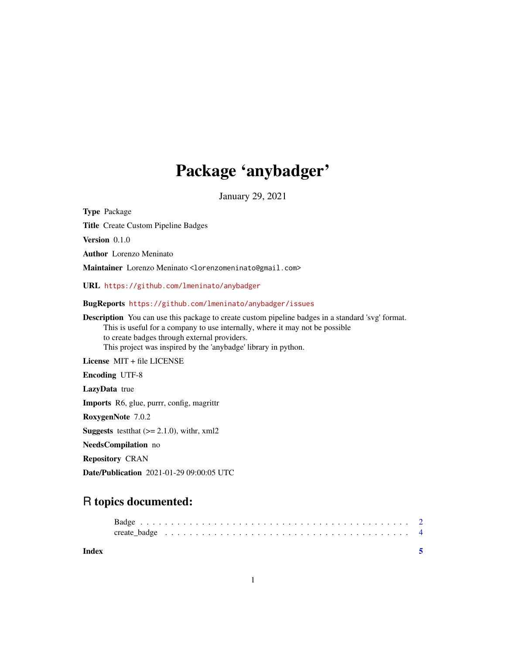## Package 'anybadger'

January 29, 2021

<span id="page-0-0"></span>Type Package

Title Create Custom Pipeline Badges

Version 0.1.0

Author Lorenzo Meninato

Maintainer Lorenzo Meninato <lorenzomeninato@gmail.com>

URL <https://github.com/lmeninato/anybadger>

BugReports <https://github.com/lmeninato/anybadger/issues>

Description You can use this package to create custom pipeline badges in a standard 'svg' format. This is useful for a company to use internally, where it may not be possible to create badges through external providers. This project was inspired by the 'anybadge' library in python.

License MIT + file LICENSE Encoding UTF-8 LazyData true Imports R6, glue, purrr, config, magrittr RoxygenNote 7.0.2 **Suggests** test that  $(>= 2.1.0)$ , with r, xml2 NeedsCompilation no Repository CRAN

Date/Publication 2021-01-29 09:00:05 UTC

### R topics documented:

| Index |  |  |  |  |  |  |  |  |  |  |  |  |  |  |  |  |  |  |
|-------|--|--|--|--|--|--|--|--|--|--|--|--|--|--|--|--|--|--|
|       |  |  |  |  |  |  |  |  |  |  |  |  |  |  |  |  |  |  |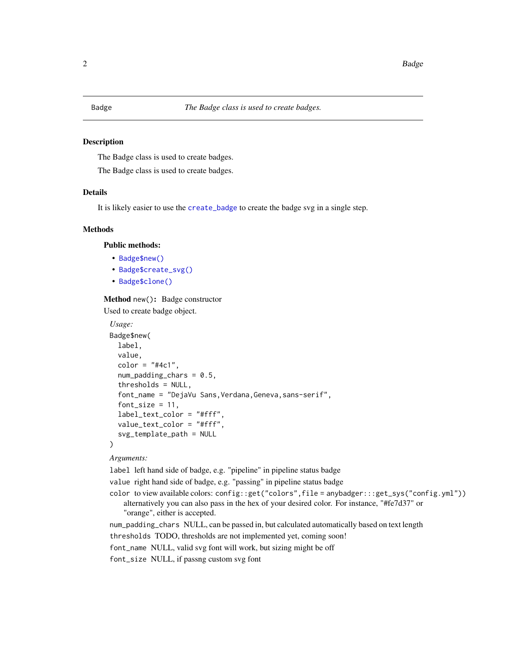<span id="page-1-0"></span>

#### Description

The Badge class is used to create badges.

The Badge class is used to create badges.

#### Details

It is likely easier to use the [create\\_badge](#page-3-1) to create the badge svg in a single step.

#### **Methods**

Public methods:

- [Badge\\$new\(\)](#page-0-0)
- [Badge\\$create\\_svg\(\)](#page-0-0)
- [Badge\\$clone\(\)](#page-0-0)

Method new(): Badge constructor

Used to create badge object.

```
Usage:
Badge$new(
  label,
  value,
  color = "#4c1",num\_padding\_chars = 0.5,
  thresholds = NULL,
  font_name = "DejaVu Sans,Verdana,Geneva,sans-serif",
  font_size = 11,
  label_text_color = "#fff",
  value_text_color = "#fff",
  svg_template_path = NULL
)
```
#### *Arguments:*

label left hand side of badge, e.g. "pipeline" in pipeline status badge

value right hand side of badge, e.g. "passing" in pipeline status badge

color to view available colors: config::get("colors",file = anybadger:::get\_sys("config.yml")) alternatively you can also pass in the hex of your desired color. For instance, "#fe7d37" or

```
"orange", either is accepted.
```
num\_padding\_chars NULL, can be passed in, but calculated automatically based on text length

thresholds TODO, thresholds are not implemented yet, coming soon!

font\_name NULL, valid svg font will work, but sizing might be off

font\_size NULL, if passng custom svg font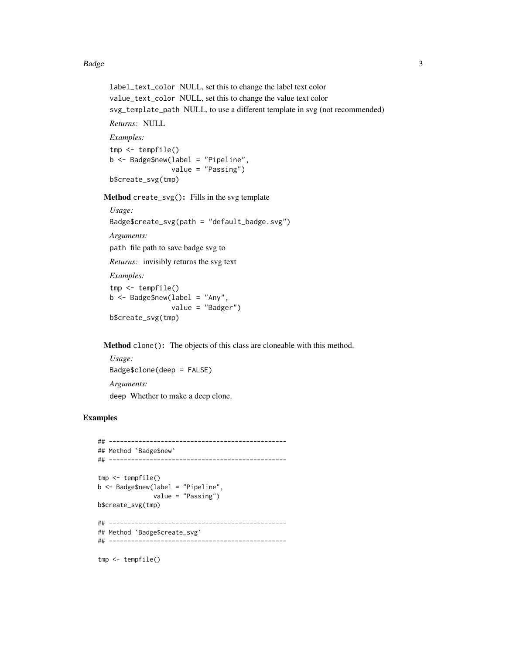#### Badge 3 and 3 and 3 and 3 and 3 and 3 and 3 and 3 and 3 and 3 and 3 and 3 and 3 and 3 and 3 and 3 and 3 and 3 and 3 and 3 and 3 and 3 and 3 and 3 and 3 and 3 and 3 and 3 and 3 and 3 and 3 and 3 and 3 and 3 and 3 and 3 and

```
label_text_color NULL, set this to change the label text color
value_text_color NULL, set this to change the value text color
svg_template_path NULL, to use a different template in svg (not recommended)
```
*Returns:* NULL

*Examples:*

tmp <- tempfile() b <- Badge\$new(label = "Pipeline", value = "Passing") b\$create\_svg(tmp)

Method create\_svg(): Fills in the svg template

```
Usage:
Badge$create_svg(path = "default_badge.svg")
Arguments:
path file path to save badge svg to
Returns: invisibly returns the svg text
Examples:
tmp <- tempfile()
b \leq - Badge$new(label = "Any",
                value = "Badger")
b$create_svg(tmp)
```
Method clone(): The objects of this class are cloneable with this method.

*Usage:* Badge\$clone(deep = FALSE) *Arguments:* deep Whether to make a deep clone.

#### Examples

```
## ------------------------------------------------
## Method `Badge$new`
## ------------------------------------------------
tmp <- tempfile()
b <- Badge$new(label = "Pipeline",
              value = "Passing")
b$create_svg(tmp)
## ------------------------------------------------
## Method `Badge$create_svg`
## ------------------------------------------------
tmp <- tempfile()
```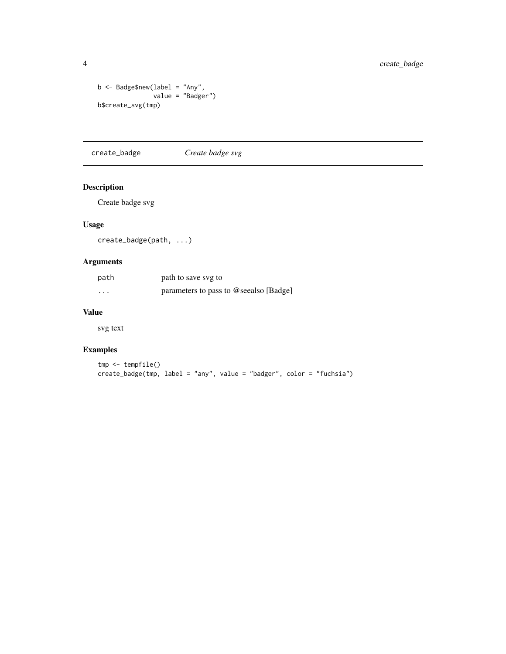```
b <- Badge$new(label = "Any",
              value = "Badger")
b$create_svg(tmp)
```
<span id="page-3-1"></span>create\_badge *Create badge svg*

#### Description

Create badge svg

#### Usage

create\_badge(path, ...)

#### Arguments

| path                    | path to save svg to                    |  |
|-------------------------|----------------------------------------|--|
| $\cdot$ $\cdot$ $\cdot$ | parameters to pass to @seealso [Badge] |  |

#### Value

svg text

#### Examples

```
tmp <- tempfile()
create_badge(tmp, label = "any", value = "badger", color = "fuchsia")
```
<span id="page-3-0"></span>